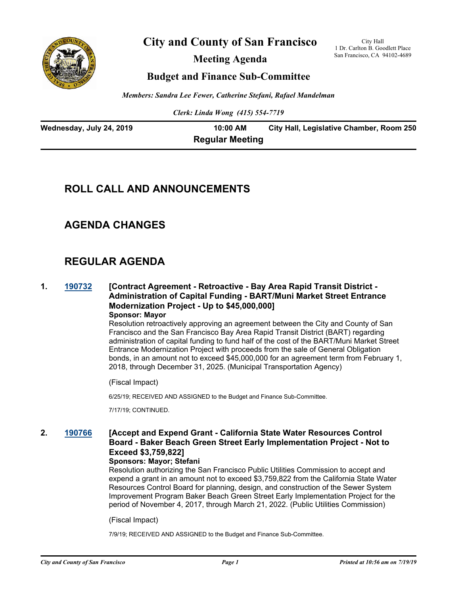

**City and County of San Francisco**

**Meeting Agenda**

City Hall 1 Dr. Carlton B. Goodlett Place San Francisco, CA 94102-4689

# **Budget and Finance Sub-Committee**

*Members: Sandra Lee Fewer, Catherine Stefani, Rafael Mandelman*

*Clerk: Linda Wong (415) 554-7719*

| Wednesday, July 24, 2019 | 10:00 AM               | City Hall, Legislative Chamber, Room 250 |
|--------------------------|------------------------|------------------------------------------|
|                          | <b>Regular Meeting</b> |                                          |

# **ROLL CALL AND ANNOUNCEMENTS**

# **AGENDA CHANGES**

# **REGULAR AGENDA**

## **1. [190732](http://sfgov.legistar.com/gateway.aspx?m=l&id=34854) [Contract Agreement - Retroactive - Bay Area Rapid Transit District - Administration of Capital Funding - BART/Muni Market Street Entrance Modernization Project - Up to \$45,000,000] Sponsor: Mayor**

Resolution retroactively approving an agreement between the City and County of San Francisco and the San Francisco Bay Area Rapid Transit District (BART) regarding administration of capital funding to fund half of the cost of the BART/Muni Market Street Entrance Modernization Project with proceeds from the sale of General Obligation bonds, in an amount not to exceed \$45,000,000 for an agreement term from February 1, 2018, through December 31, 2025. (Municipal Transportation Agency)

(Fiscal Impact)

6/25/19; RECEIVED AND ASSIGNED to the Budget and Finance Sub-Committee.

7/17/19; CONTINUED.

# **2. [190766](http://sfgov.legistar.com/gateway.aspx?m=l&id=34888) [Accept and Expend Grant - California State Water Resources Control Board - Baker Beach Green Street Early Implementation Project - Not to Exceed \$3,759,822]**

### **Sponsors: Mayor; Stefani**

Resolution authorizing the San Francisco Public Utilities Commission to accept and expend a grant in an amount not to exceed \$3,759,822 from the California State Water Resources Control Board for planning, design, and construction of the Sewer System Improvement Program Baker Beach Green Street Early Implementation Project for the period of November 4, 2017, through March 21, 2022. (Public Utilities Commission)

### (Fiscal Impact)

7/9/19; RECEIVED AND ASSIGNED to the Budget and Finance Sub-Committee.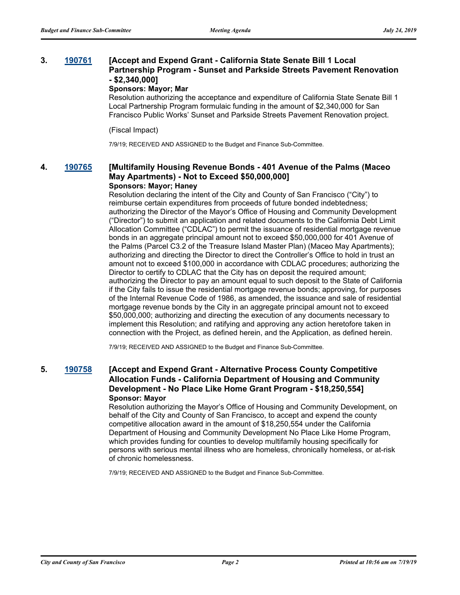### **3. [190761](http://sfgov.legistar.com/gateway.aspx?m=l&id=34883) [Accept and Expend Grant - California State Senate Bill 1 Local Partnership Program - Sunset and Parkside Streets Pavement Renovation - \$2,340,000]**

### **Sponsors: Mayor; Mar**

Resolution authorizing the acceptance and expenditure of California State Senate Bill 1 Local Partnership Program formulaic funding in the amount of \$2,340,000 for San Francisco Public Works' Sunset and Parkside Streets Pavement Renovation project.

### (Fiscal Impact)

7/9/19; RECEIVED AND ASSIGNED to the Budget and Finance Sub-Committee.

# **4. [190765](http://sfgov.legistar.com/gateway.aspx?m=l&id=34887) [Multifamily Housing Revenue Bonds - 401 Avenue of the Palms (Maceo May Apartments) - Not to Exceed \$50,000,000]**

### **Sponsors: Mayor; Haney**

Resolution declaring the intent of the City and County of San Francisco ("City") to reimburse certain expenditures from proceeds of future bonded indebtedness; authorizing the Director of the Mayor's Office of Housing and Community Development ("Director") to submit an application and related documents to the California Debt Limit Allocation Committee ("CDLAC") to permit the issuance of residential mortgage revenue bonds in an aggregate principal amount not to exceed \$50,000,000 for 401 Avenue of the Palms (Parcel C3.2 of the Treasure Island Master Plan) (Maceo May Apartments); authorizing and directing the Director to direct the Controller's Office to hold in trust an amount not to exceed \$100,000 in accordance with CDLAC procedures; authorizing the Director to certify to CDLAC that the City has on deposit the required amount; authorizing the Director to pay an amount equal to such deposit to the State of California if the City fails to issue the residential mortgage revenue bonds; approving, for purposes of the Internal Revenue Code of 1986, as amended, the issuance and sale of residential mortgage revenue bonds by the City in an aggregate principal amount not to exceed \$50,000,000; authorizing and directing the execution of any documents necessary to implement this Resolution; and ratifying and approving any action heretofore taken in connection with the Project, as defined herein, and the Application, as defined herein.

7/9/19; RECEIVED AND ASSIGNED to the Budget and Finance Sub-Committee.

# **5. [190758](http://sfgov.legistar.com/gateway.aspx?m=l&id=34880) [Accept and Expend Grant - Alternative Process County Competitive Allocation Funds - California Department of Housing and Community Development - No Place Like Home Grant Program - \$18,250,554] Sponsor: Mayor**

Resolution authorizing the Mayor's Office of Housing and Community Development, on behalf of the City and County of San Francisco, to accept and expend the county competitive allocation award in the amount of \$18,250,554 under the California Department of Housing and Community Development No Place Like Home Program, which provides funding for counties to develop multifamily housing specifically for persons with serious mental illness who are homeless, chronically homeless, or at-risk of chronic homelessness.

7/9/19; RECEIVED AND ASSIGNED to the Budget and Finance Sub-Committee.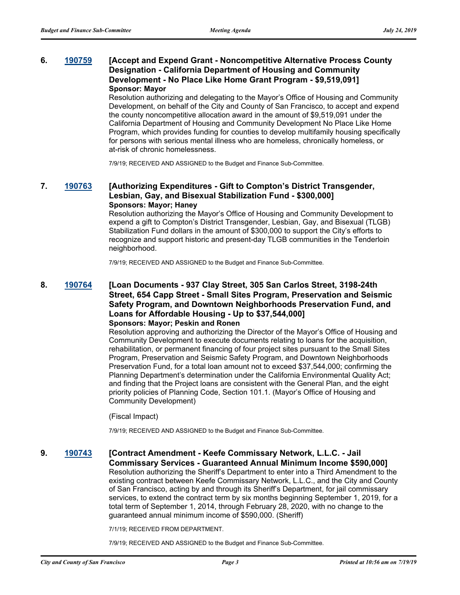# **6. [190759](http://sfgov.legistar.com/gateway.aspx?m=l&id=34881) [Accept and Expend Grant - Noncompetitive Alternative Process County Designation - California Department of Housing and Community Development - No Place Like Home Grant Program - \$9,519,091] Sponsor: Mayor**

Resolution authorizing and delegating to the Mayor's Office of Housing and Community Development, on behalf of the City and County of San Francisco, to accept and expend the county noncompetitive allocation award in the amount of \$9,519,091 under the California Department of Housing and Community Development No Place Like Home Program, which provides funding for counties to develop multifamily housing specifically for persons with serious mental illness who are homeless, chronically homeless, or at-risk of chronic homelessness.

7/9/19; RECEIVED AND ASSIGNED to the Budget and Finance Sub-Committee.

## **7. [190763](http://sfgov.legistar.com/gateway.aspx?m=l&id=34885) [Authorizing Expenditures - Gift to Compton's District Transgender, Lesbian, Gay, and Bisexual Stabilization Fund - \$300,000] Sponsors: Mayor; Haney**

Resolution authorizing the Mayor's Office of Housing and Community Development to expend a gift to Compton's District Transgender, Lesbian, Gay, and Bisexual (TLGB) Stabilization Fund dollars in the amount of \$300,000 to support the City's efforts to recognize and support historic and present-day TLGB communities in the Tenderloin neighborhood.

7/9/19; RECEIVED AND ASSIGNED to the Budget and Finance Sub-Committee.

## **8. [190764](http://sfgov.legistar.com/gateway.aspx?m=l&id=34886) [Loan Documents - 937 Clay Street, 305 San Carlos Street, 3198-24th Street, 654 Capp Street - Small Sites Program, Preservation and Seismic Safety Program, and Downtown Neighborhoods Preservation Fund, and Loans for Affordable Housing - Up to \$37,544,000] Sponsors: Mayor; Peskin and Ronen**

Resolution approving and authorizing the Director of the Mayor's Office of Housing and Community Development to execute documents relating to loans for the acquisition, rehabilitation, or permanent financing of four project sites pursuant to the Small Sites Program, Preservation and Seismic Safety Program, and Downtown Neighborhoods Preservation Fund, for a total loan amount not to exceed \$37,544,000; confirming the Planning Department's determination under the California Environmental Quality Act; and finding that the Project loans are consistent with the General Plan, and the eight priority policies of Planning Code, Section 101.1. (Mayor's Office of Housing and Community Development)

### (Fiscal Impact)

7/9/19; RECEIVED AND ASSIGNED to the Budget and Finance Sub-Committee.

# **9. [190743](http://sfgov.legistar.com/gateway.aspx?m=l&id=34865) [Contract Amendment - Keefe Commissary Network, L.L.C. - Jail**

**Commissary Services - Guaranteed Annual Minimum Income \$590,000]** Resolution authorizing the Sheriff's Department to enter into a Third Amendment to the existing contract between Keefe Commissary Network, L.L.C., and the City and County of San Francisco, acting by and through its Sheriff's Department, for jail commissary services, to extend the contract term by six months beginning September 1, 2019, for a total term of September 1, 2014, through February 28, 2020, with no change to the guaranteed annual minimum income of \$590,000. (Sheriff)

7/1/19; RECEIVED FROM DEPARTMENT.

7/9/19; RECEIVED AND ASSIGNED to the Budget and Finance Sub-Committee.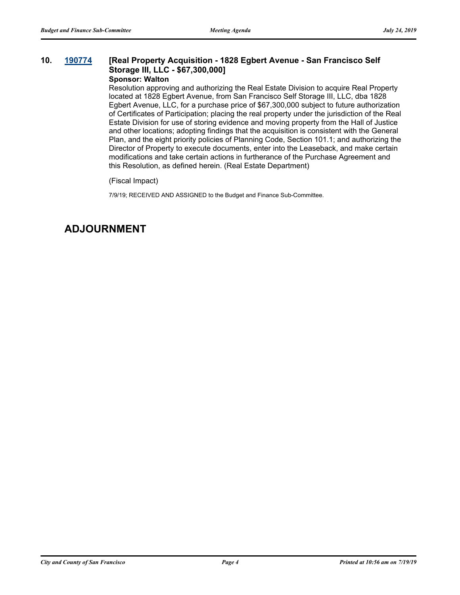# **10. [190774](http://sfgov.legistar.com/gateway.aspx?m=l&id=34896) [Real Property Acquisition - 1828 Egbert Avenue - San Francisco Self Storage III, LLC - \$67,300,000]**

# **Sponsor: Walton**

Resolution approving and authorizing the Real Estate Division to acquire Real Property located at 1828 Egbert Avenue, from San Francisco Self Storage III, LLC, dba 1828 Egbert Avenue, LLC, for a purchase price of \$67,300,000 subject to future authorization of Certificates of Participation; placing the real property under the jurisdiction of the Real Estate Division for use of storing evidence and moving property from the Hall of Justice and other locations; adopting findings that the acquisition is consistent with the General Plan, and the eight priority policies of Planning Code, Section 101.1; and authorizing the Director of Property to execute documents, enter into the Leaseback, and make certain modifications and take certain actions in furtherance of the Purchase Agreement and this Resolution, as defined herein. (Real Estate Department)

(Fiscal Impact)

7/9/19; RECEIVED AND ASSIGNED to the Budget and Finance Sub-Committee.

# **ADJOURNMENT**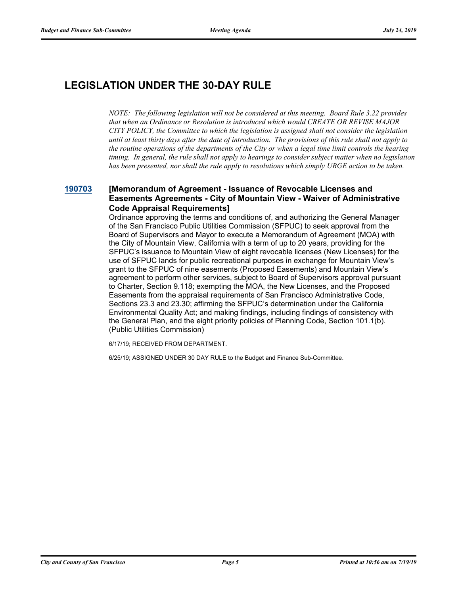# **LEGISLATION UNDER THE 30-DAY RULE**

*NOTE: The following legislation will not be considered at this meeting. Board Rule 3.22 provides that when an Ordinance or Resolution is introduced which would CREATE OR REVISE MAJOR CITY POLICY, the Committee to which the legislation is assigned shall not consider the legislation until at least thirty days after the date of introduction. The provisions of this rule shall not apply to the routine operations of the departments of the City or when a legal time limit controls the hearing timing. In general, the rule shall not apply to hearings to consider subject matter when no legislation has been presented, nor shall the rule apply to resolutions which simply URGE action to be taken.*

# **[190703](http://sfgov.legistar.com/gateway.aspx?m=l&id=34825) [Memorandum of Agreement - Issuance of Revocable Licenses and Easements Agreements - City of Mountain View - Waiver of Administrative Code Appraisal Requirements]**

Ordinance approving the terms and conditions of, and authorizing the General Manager of the San Francisco Public Utilities Commission (SFPUC) to seek approval from the Board of Supervisors and Mayor to execute a Memorandum of Agreement (MOA) with the City of Mountain View, California with a term of up to 20 years, providing for the SFPUC's issuance to Mountain View of eight revocable licenses (New Licenses) for the use of SFPUC lands for public recreational purposes in exchange for Mountain View's grant to the SFPUC of nine easements (Proposed Easements) and Mountain View's agreement to perform other services, subject to Board of Supervisors approval pursuant to Charter, Section 9.118; exempting the MOA, the New Licenses, and the Proposed Easements from the appraisal requirements of San Francisco Administrative Code, Sections 23.3 and 23.30; affirming the SFPUC's determination under the California Environmental Quality Act; and making findings, including findings of consistency with the General Plan, and the eight priority policies of Planning Code, Section 101.1(b). (Public Utilities Commission)

6/17/19; RECEIVED FROM DEPARTMENT.

6/25/19; ASSIGNED UNDER 30 DAY RULE to the Budget and Finance Sub-Committee.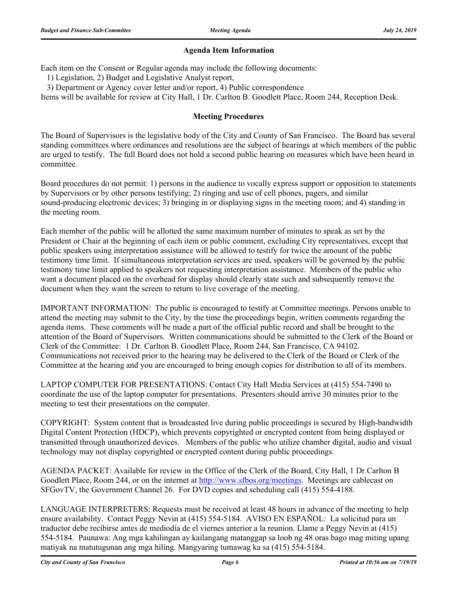# **Agenda Item Information**

Each item on the Consent or Regular agenda may include the following documents:

1) Legislation, 2) Budget and Legislative Analyst report,

3) Department or Agency cover letter and/or report, 4) Public correspondence

Items will be available for review at City Hall, 1 Dr. Carlton B. Goodlett Place, Room 244, Reception Desk.

# **Meeting Procedures**

The Board of Supervisors is the legislative body of the City and County of San Francisco. The Board has several standing committees where ordinances and resolutions are the subject of hearings at which members of the public are urged to testify. The full Board does not hold a second public hearing on measures which have been heard in committee.

Board procedures do not permit: 1) persons in the audience to vocally express support or opposition to statements by Supervisors or by other persons testifying; 2) ringing and use of cell phones, pagers, and similar sound-producing electronic devices; 3) bringing in or displaying signs in the meeting room; and 4) standing in the meeting room.

Each member of the public will be allotted the same maximum number of minutes to speak as set by the President or Chair at the beginning of each item or public comment, excluding City representatives, except that public speakers using interpretation assistance will be allowed to testify for twice the amount of the public testimony time limit. If simultaneous interpretation services are used, speakers will be governed by the public testimony time limit applied to speakers not requesting interpretation assistance. Members of the public who want a document placed on the overhead for display should clearly state such and subsequently remove the document when they want the screen to return to live coverage of the meeting.

IMPORTANT INFORMATION: The public is encouraged to testify at Committee meetings. Persons unable to attend the meeting may submit to the City, by the time the proceedings begin, written comments regarding the agenda items. These comments will be made a part of the official public record and shall be brought to the attention of the Board of Supervisors. Written communications should be submitted to the Clerk of the Board or Clerk of the Committee: 1 Dr. Carlton B. Goodlett Place, Room 244, San Francisco, CA 94102. Communications not received prior to the hearing may be delivered to the Clerk of the Board or Clerk of the Committee at the hearing and you are encouraged to bring enough copies for distribution to all of its members.

LAPTOP COMPUTER FOR PRESENTATIONS: Contact City Hall Media Services at (415) 554-7490 to coordinate the use of the laptop computer for presentations. Presenters should arrive 30 minutes prior to the meeting to test their presentations on the computer.

COPYRIGHT: System content that is broadcasted live during public proceedings is secured by High-bandwidth Digital Content Protection (HDCP), which prevents copyrighted or encrypted content from being displayed or transmitted through unauthorized devices. Members of the public who utilize chamber digital, audio and visual technology may not display copyrighted or encrypted content during public proceedings.

AGENDA PACKET: Available for review in the Office of the Clerk of the Board, City Hall, 1 Dr.Carlton B Goodlett Place, Room 244, or on the internet at http://www.sfbos.org/meetings. Meetings are cablecast on SFGovTV, the Government Channel 26. For DVD copies and scheduling call (415) 554-4188.

LANGUAGE INTERPRETERS: Requests must be received at least 48 hours in advance of the meeting to help ensure availability. Contact Peggy Nevin at (415) 554-5184. AVISO EN ESPAÑOL: La solicitud para un traductor debe recibirse antes de mediodía de el viernes anterior a la reunion. Llame a Peggy Nevin at (415) 554-5184. Paunawa: Ang mga kahilingan ay kailangang matanggap sa loob ng 48 oras bago mag miting upang matiyak na matutugunan ang mga hiling. Mangyaring tumawag ka sa (415) 554-5184.